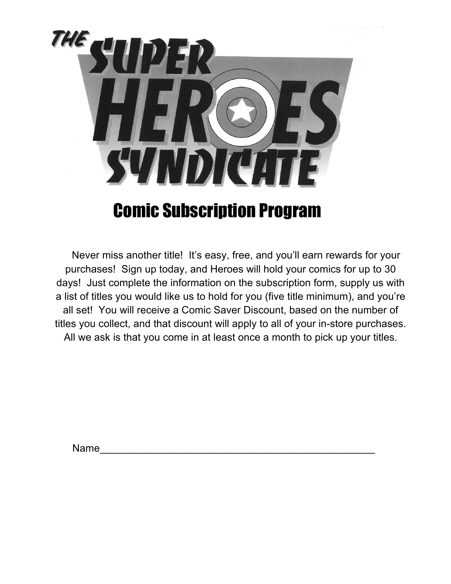

## Comic Subscription Program

 Never miss another title! It's easy, free, and you'll earn rewards for your purchases! Sign up today, and Heroes will hold your comics for up to 30 days! Just complete the information on the subscription form, supply us with a list of titles you would like us to hold for you (five title minimum), and you're all set! You will receive a Comic Saver Discount, based on the number of titles you collect, and that discount will apply to all of your in-store purchases. All we ask is that you come in at least once a month to pick up your titles.

Name\_\_\_\_\_\_\_\_\_\_\_\_\_\_\_\_\_\_\_\_\_\_\_\_\_\_\_\_\_\_\_\_\_\_\_\_\_\_\_\_\_\_\_\_\_\_\_\_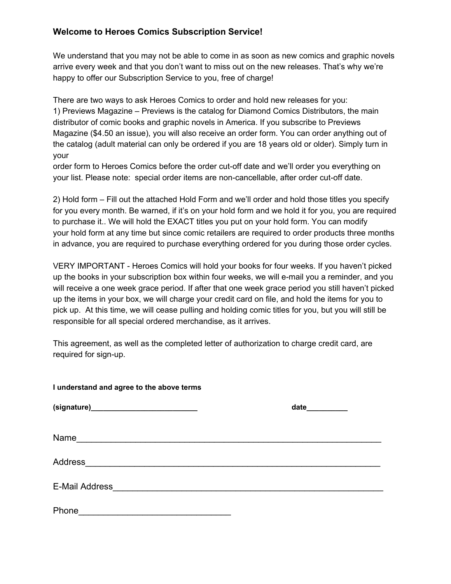## **Welcome to Heroes Comics Subscription Service!**

We understand that you may not be able to come in as soon as new comics and graphic novels arrive every week and that you don't want to miss out on the new releases. That's why we're happy to offer our Subscription Service to you, free of charge!

There are two ways to ask Heroes Comics to order and hold new releases for you: 1) Previews Magazine – Previews is the catalog for Diamond Comics Distributors, the main distributor of comic books and graphic novels in America. If you subscribe to Previews Magazine (\$4.50 an issue), you will also receive an order form. You can order anything out of the catalog (adult material can only be ordered if you are 18 years old or older). Simply turn in your

order form to Heroes Comics before the order cut-off date and we'll order you everything on your list. Please note: special order items are non-cancellable, after order cut-off date.

2) Hold form – Fill out the attached Hold Form and we'll order and hold those titles you specify for you every month. Be warned, if it's on your hold form and we hold it for you, you are required to purchase it.. We will hold the EXACT titles you put on your hold form. You can modify your hold form at any time but since comic retailers are required to order products three months in advance, you are required to purchase everything ordered for you during those order cycles.

VERY IMPORTANT - Heroes Comics will hold your books for four weeks. If you haven't picked up the books in your subscription box within four weeks, we will e-mail you a reminder, and you will receive a one week grace period. If after that one week grace period you still haven't picked up the items in your box, we will charge your credit card on file, and hold the items for you to pick up. At this time, we will cease pulling and holding comic titles for you, but you will still be responsible for all special ordered merchandise, as it arrives.

This agreement, as well as the completed letter of authorization to charge credit card, are required for sign-up.

**I understand and agree to the above terms**

| Phone<br><u> 1989 - Johann Johann Stoff, deutscher Stoffen und der Stoffen und der Stoffen und der Stoffen und der Stoffen</u> |  |
|--------------------------------------------------------------------------------------------------------------------------------|--|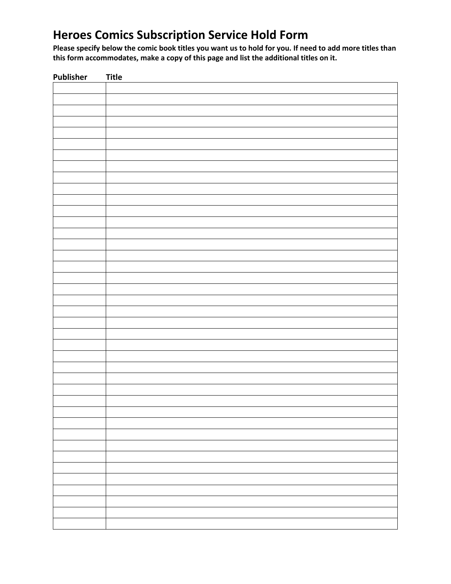## **Heroes Comics Subscription Service Hold Form**

**Please specify below the comic book titles you want us to hold for you. If need to add more titles than this form accommodates, make a copy of this page and list the additional titles on it.**

| Publisher | <b>Title</b> |
|-----------|--------------|
|           |              |
|           |              |
|           |              |
|           |              |
|           |              |
|           |              |
|           |              |
|           |              |
|           |              |
|           |              |
|           |              |
|           |              |
|           |              |
|           |              |
|           |              |
|           |              |
|           |              |
|           |              |
|           |              |
|           |              |
|           |              |
|           |              |
|           |              |
|           |              |
|           |              |
|           |              |
|           |              |
|           |              |
|           |              |
|           |              |
|           |              |
|           |              |
|           |              |
|           |              |
|           |              |
|           |              |
|           |              |
|           |              |
|           |              |
|           |              |